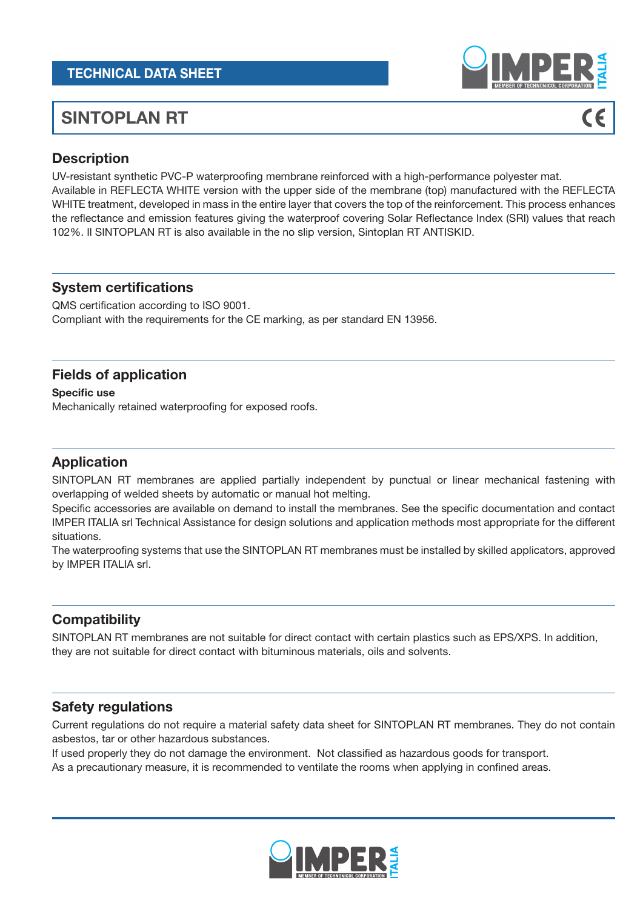## TECHNICAL DATA SHEET

# SINTOPLAN RT

# $\epsilon$

# **Description**

UV-resistant synthetic PVC-P waterproofing membrane reinforced with a high-performance polyester mat.

Available in REFLECTA WHITE version with the upper side of the membrane (top) manufactured with the REFLECTA WHITE treatment, developed in mass in the entire layer that covers the top of the reinforcement. This process enhances the reflectance and emission features giving the waterproof covering Solar Reflectance Index (SRI) values that reach 102%. Il SINTOPLAN RT is also available in the no slip version, Sintoplan RT ANTISKID.

#### System certifications

QMS certification according to ISO 9001. Compliant with the requirements for the CE marking, as per standard EN 13956.

#### Fields of application

Specific use

Mechanically retained waterproofing for exposed roofs.

#### Application

SINTOPLAN RT membranes are applied partially independent by punctual or linear mechanical fastening with overlapping of welded sheets by automatic or manual hot melting.

Specific accessories are available on demand to install the membranes. See the specific documentation and contact IMPER ITALIA srl Technical Assistance for design solutions and application methods most appropriate for the different situations.

The waterproofing systems that use the SINTOPLAN RT membranes must be installed by skilled applicators, approved by IMPER ITALIA srl.

### **Compatibility**

SINTOPLAN RT membranes are not suitable for direct contact with certain plastics such as EPS/XPS. In addition, they are not suitable for direct contact with bituminous materials, oils and solvents.

#### Safety regulations

Current regulations do not require a material safety data sheet for SINTOPLAN RT membranes. They do not contain asbestos, tar or other hazardous substances.

If used properly they do not damage the environment. Not classified as hazardous goods for transport.

As a precautionary measure, it is recommended to ventilate the rooms when applying in confined areas.